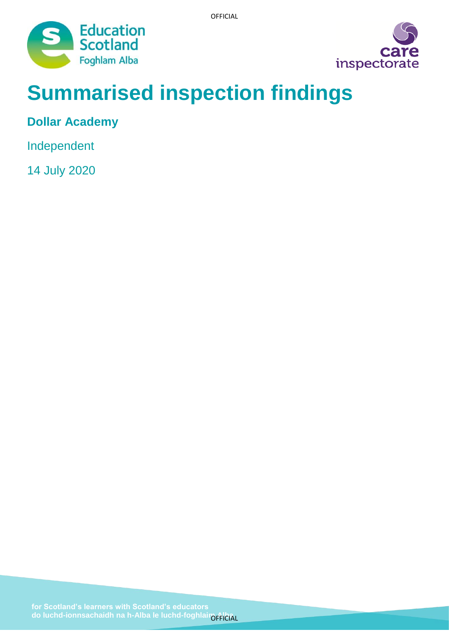



# **Summarised inspection findings**

**Dollar Academy**

Independent

14 July 2020

do luchd-ionnsachaidh na h-Alba le luchd-foghlair<sub>ÖFFICIAL</sub>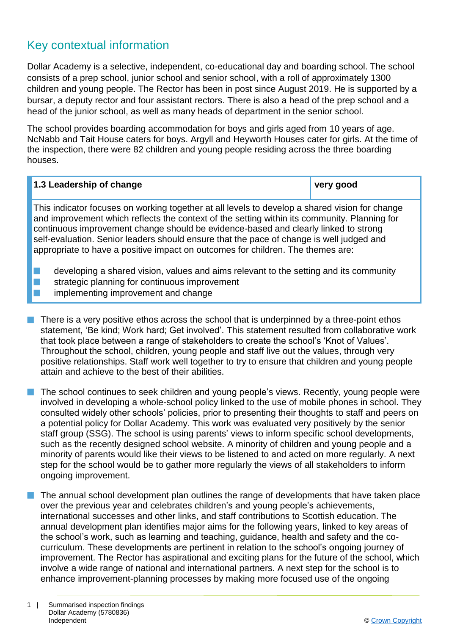# Key contextual information

Dollar Academy is a selective, independent, co-educational day and boarding school. The school consists of a prep school, junior school and senior school, with a roll of approximately 1300 children and young people. The Rector has been in post since August 2019. He is supported by a bursar, a deputy rector and four assistant rectors. There is also a head of the prep school and a head of the junior school, as well as many heads of department in the senior school.

The school provides boarding accommodation for boys and girls aged from 10 years of age. NcNabb and Tait House caters for boys. Argyll and Heyworth Houses cater for girls. At the time of the inspection, there were 82 children and young people residing across the three boarding houses.

| 1.3 Leadership of change                                                                       | very good |
|------------------------------------------------------------------------------------------------|-----------|
| This indicator fequese on werking together at all levels to develop a shared vision for shapes |           |

This indicator focuses on working together at all levels to develop a shared vision for change and improvement which reflects the context of the setting within its community. Planning for continuous improvement change should be evidence-based and clearly linked to strong self-evaluation. Senior leaders should ensure that the pace of change is well judged and appropriate to have a positive impact on outcomes for children. The themes are:

- developing a shared vision, values and aims relevant to the setting and its community
- $\blacksquare$  strategic planning for continuous improvement
	- implementing improvement and change
- $\blacksquare$  There is a very positive ethos across the school that is underpinned by a three-point ethos statement, 'Be kind; Work hard; Get involved'. This statement resulted from collaborative work that took place between a range of stakeholders to create the school's 'Knot of Values'. Throughout the school, children, young people and staff live out the values, through very positive relationships. Staff work well together to try to ensure that children and young people attain and achieve to the best of their abilities.
- $\blacksquare$  The school continues to seek children and young people's views. Recently, young people were involved in developing a whole-school policy linked to the use of mobile phones in school. They consulted widely other schools' policies, prior to presenting their thoughts to staff and peers on a potential policy for Dollar Academy. This work was evaluated very positively by the senior staff group (SSG). The school is using parents' views to inform specific school developments, such as the recently designed school website. A minority of children and young people and a minority of parents would like their views to be listened to and acted on more regularly. A next step for the school would be to gather more regularly the views of all stakeholders to inform ongoing improvement.
- $\blacksquare$  The annual school development plan outlines the range of developments that have taken place over the previous year and celebrates children's and young people's achievements, international successes and other links, and staff contributions to Scottish education. The annual development plan identifies major aims for the following years, linked to key areas of the school's work, such as learning and teaching, guidance, health and safety and the cocurriculum. These developments are pertinent in relation to the school's ongoing journey of improvement. The Rector has aspirational and exciting plans for the future of the school, which involve a wide range of national and international partners. A next step for the school is to enhance improvement-planning processes by making more focused use of the ongoing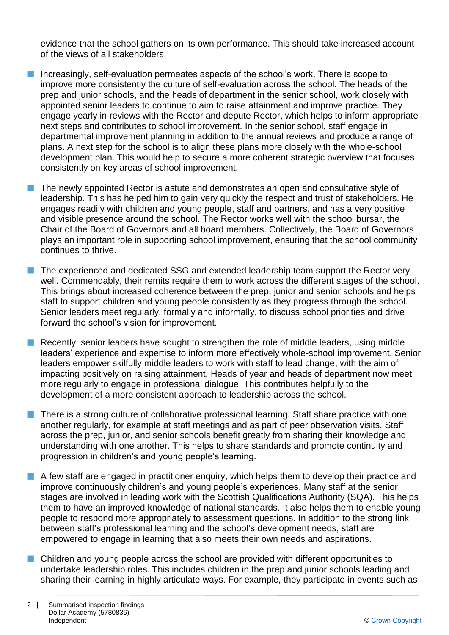evidence that the school gathers on its own performance. This should take increased account of the views of all stakeholders.

- **n** Increasingly, self-evaluation permeates aspects of the school's work. There is scope to improve more consistently the culture of self-evaluation across the school. The heads of the prep and junior schools, and the heads of department in the senior school, work closely with appointed senior leaders to continue to aim to raise attainment and improve practice. They engage yearly in reviews with the Rector and depute Rector, which helps to inform appropriate next steps and contributes to school improvement. In the senior school, staff engage in departmental improvement planning in addition to the annual reviews and produce a range of plans. A next step for the school is to align these plans more closely with the whole-school development plan. This would help to secure a more coherent strategic overview that focuses consistently on key areas of school improvement.
- The newly appointed Rector is astute and demonstrates an open and consultative style of leadership. This has helped him to gain very quickly the respect and trust of stakeholders. He engages readily with children and young people, staff and partners, and has a very positive and visible presence around the school. The Rector works well with the school bursar, the Chair of the Board of Governors and all board members. Collectively, the Board of Governors plays an important role in supporting school improvement, ensuring that the school community continues to thrive.
- $\blacksquare$  The experienced and dedicated SSG and extended leadership team support the Rector very well. Commendably, their remits require them to work across the different stages of the school. This brings about increased coherence between the prep, junior and senior schools and helps staff to support children and young people consistently as they progress through the school. Senior leaders meet regularly, formally and informally, to discuss school priorities and drive forward the school's vision for improvement.
- **n** Recently, senior leaders have sought to strengthen the role of middle leaders, using middle leaders' experience and expertise to inform more effectively whole-school improvement. Senior leaders empower skilfully middle leaders to work with staff to lead change, with the aim of impacting positively on raising attainment. Heads of year and heads of department now meet more regularly to engage in professional dialogue. This contributes helpfully to the development of a more consistent approach to leadership across the school.
- n There is a strong culture of collaborative professional learning. Staff share practice with one another regularly, for example at staff meetings and as part of peer observation visits. Staff across the prep, junior, and senior schools benefit greatly from sharing their knowledge and understanding with one another. This helps to share standards and promote continuity and progression in children's and young people's learning.
- $\blacksquare$  A few staff are engaged in practitioner enguiry, which helps them to develop their practice and improve continuously children's and young people's experiences. Many staff at the senior stages are involved in leading work with the Scottish Qualifications Authority (SQA). This helps them to have an improved knowledge of national standards. It also helps them to enable young people to respond more appropriately to assessment questions. In addition to the strong link between staff's professional learning and the school's development needs, staff are empowered to engage in learning that also meets their own needs and aspirations.
- $\blacksquare$  Children and young people across the school are provided with different opportunities to undertake leadership roles. This includes children in the prep and junior schools leading and sharing their learning in highly articulate ways. For example, they participate in events such as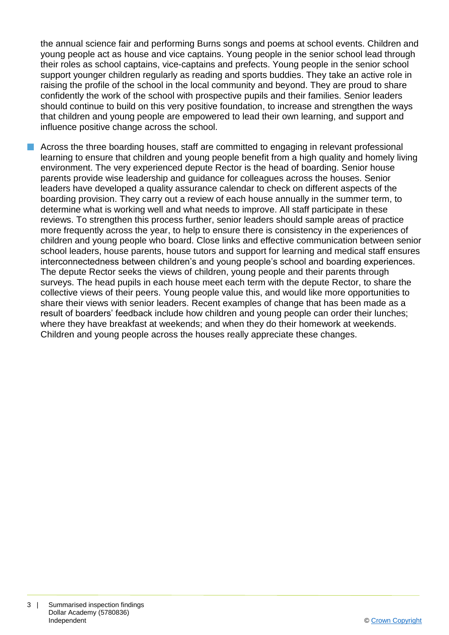the annual science fair and performing Burns songs and poems at school events. Children and young people act as house and vice captains. Young people in the senior school lead through their roles as school captains, vice-captains and prefects. Young people in the senior school support younger children regularly as reading and sports buddies. They take an active role in raising the profile of the school in the local community and beyond. They are proud to share confidently the work of the school with prospective pupils and their families. Senior leaders should continue to build on this very positive foundation, to increase and strengthen the ways that children and young people are empowered to lead their own learning, and support and influence positive change across the school.

**n** Across the three boarding houses, staff are committed to engaging in relevant professional learning to ensure that children and young people benefit from a high quality and homely living environment. The very experienced depute Rector is the head of boarding. Senior house parents provide wise leadership and guidance for colleagues across the houses. Senior leaders have developed a quality assurance calendar to check on different aspects of the boarding provision. They carry out a review of each house annually in the summer term, to determine what is working well and what needs to improve. All staff participate in these reviews. To strengthen this process further, senior leaders should sample areas of practice more frequently across the year, to help to ensure there is consistency in the experiences of children and young people who board. Close links and effective communication between senior school leaders, house parents, house tutors and support for learning and medical staff ensures interconnectedness between children's and young people's school and boarding experiences. The depute Rector seeks the views of children, young people and their parents through surveys. The head pupils in each house meet each term with the depute Rector, to share the collective views of their peers. Young people value this, and would like more opportunities to share their views with senior leaders. Recent examples of change that has been made as a result of boarders' feedback include how children and young people can order their lunches; where they have breakfast at weekends; and when they do their homework at weekends. Children and young people across the houses really appreciate these changes.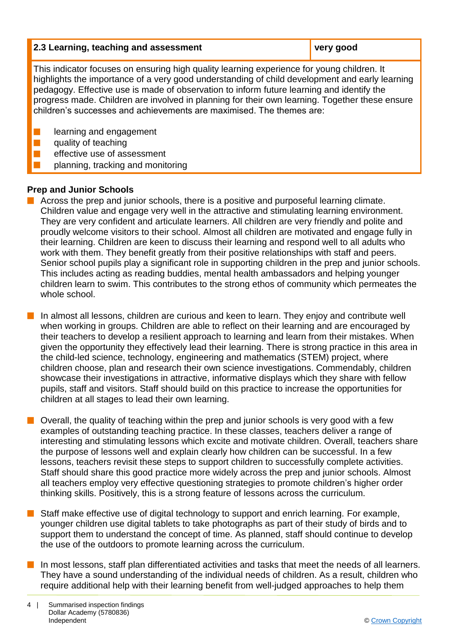| 2.3 Learning, teaching and assessment | very good |
|---------------------------------------|-----------|
|---------------------------------------|-----------|

This indicator focuses on ensuring high quality learning experience for young children. It highlights the importance of a very good understanding of child development and early learning pedagogy. Effective use is made of observation to inform future learning and identify the progress made. Children are involved in planning for their own learning. Together these ensure children's successes and achievements are maximised. The themes are:

learning and engagement

quality of teaching

- effective use of assessment
- n planning, tracking and monitoring

#### **Prep and Junior Schools**

- $\blacksquare$  Across the prep and junior schools, there is a positive and purposeful learning climate. Children value and engage very well in the attractive and stimulating learning environment. They are very confident and articulate learners. All children are very friendly and polite and proudly welcome visitors to their school. Almost all children are motivated and engage fully in their learning. Children are keen to discuss their learning and respond well to all adults who work with them. They benefit greatly from their positive relationships with staff and peers. Senior school pupils play a significant role in supporting children in the prep and junior schools. This includes acting as reading buddies, mental health ambassadors and helping younger children learn to swim. This contributes to the strong ethos of community which permeates the whole school.
- In almost all lessons, children are curious and keen to learn. They enjoy and contribute well when working in groups. Children are able to reflect on their learning and are encouraged by their teachers to develop a resilient approach to learning and learn from their mistakes. When given the opportunity they effectively lead their learning. There is strong practice in this area in the child-led science, technology, engineering and mathematics (STEM) project, where children choose, plan and research their own science investigations. Commendably, children showcase their investigations in attractive, informative displays which they share with fellow pupils, staff and visitors. Staff should build on this practice to increase the opportunities for children at all stages to lead their own learning.
- $\blacksquare$  Overall, the quality of teaching within the prep and junior schools is very good with a few examples of outstanding teaching practice. In these classes, teachers deliver a range of interesting and stimulating lessons which excite and motivate children. Overall, teachers share the purpose of lessons well and explain clearly how children can be successful. In a few lessons, teachers revisit these steps to support children to successfully complete activities. Staff should share this good practice more widely across the prep and junior schools. Almost all teachers employ very effective questioning strategies to promote children's higher order thinking skills. Positively, this is a strong feature of lessons across the curriculum.
- $\blacksquare$  Staff make effective use of digital technology to support and enrich learning. For example, younger children use digital tablets to take photographs as part of their study of birds and to support them to understand the concept of time. As planned, staff should continue to develop the use of the outdoors to promote learning across the curriculum.
- **n** In most lessons, staff plan differentiated activities and tasks that meet the needs of all learners. They have a sound understanding of the individual needs of children. As a result, children who require additional help with their learning benefit from well-judged approaches to help them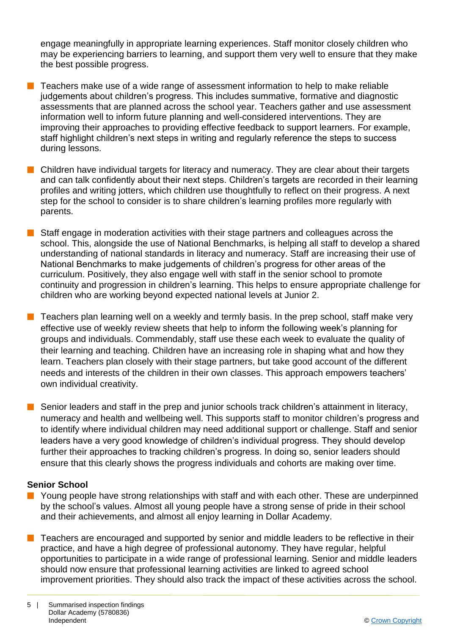engage meaningfully in appropriate learning experiences. Staff monitor closely children who may be experiencing barriers to learning, and support them very well to ensure that they make the best possible progress.

- $\blacksquare$  Teachers make use of a wide range of assessment information to help to make reliable judgements about children's progress. This includes summative, formative and diagnostic assessments that are planned across the school year. Teachers gather and use assessment information well to inform future planning and well-considered interventions. They are improving their approaches to providing effective feedback to support learners. For example, staff highlight children's next steps in writing and regularly reference the steps to success during lessons.
- $\blacksquare$  Children have individual targets for literacy and numeracy. They are clear about their targets and can talk confidently about their next steps. Children's targets are recorded in their learning profiles and writing jotters, which children use thoughtfully to reflect on their progress. A next step for the school to consider is to share children's learning profiles more regularly with parents.
- $\blacksquare$  Staff engage in moderation activities with their stage partners and colleagues across the school. This, alongside the use of National Benchmarks, is helping all staff to develop a shared understanding of national standards in literacy and numeracy. Staff are increasing their use of National Benchmarks to make judgements of children's progress for other areas of the curriculum. Positively, they also engage well with staff in the senior school to promote continuity and progression in children's learning. This helps to ensure appropriate challenge for children who are working beyond expected national levels at Junior 2.
- $\blacksquare$  Teachers plan learning well on a weekly and termly basis. In the prep school, staff make very effective use of weekly review sheets that help to inform the following week's planning for groups and individuals. Commendably, staff use these each week to evaluate the quality of their learning and teaching. Children have an increasing role in shaping what and how they learn. Teachers plan closely with their stage partners, but take good account of the different needs and interests of the children in their own classes. This approach empowers teachers' own individual creativity.
- $\blacksquare$  Senior leaders and staff in the prep and junior schools track children's attainment in literacy, numeracy and health and wellbeing well. This supports staff to monitor children's progress and to identify where individual children may need additional support or challenge. Staff and senior leaders have a very good knowledge of children's individual progress. They should develop further their approaches to tracking children's progress. In doing so, senior leaders should ensure that this clearly shows the progress individuals and cohorts are making over time.

#### **Senior School**

- **n** Young people have strong relationships with staff and with each other. These are underpinned by the school's values. Almost all young people have a strong sense of pride in their school and their achievements, and almost all enjoy learning in Dollar Academy.
- $\blacksquare$  Teachers are encouraged and supported by senior and middle leaders to be reflective in their practice, and have a high degree of professional autonomy. They have regular, helpful opportunities to participate in a wide range of professional learning. Senior and middle leaders should now ensure that professional learning activities are linked to agreed school improvement priorities. They should also track the impact of these activities across the school.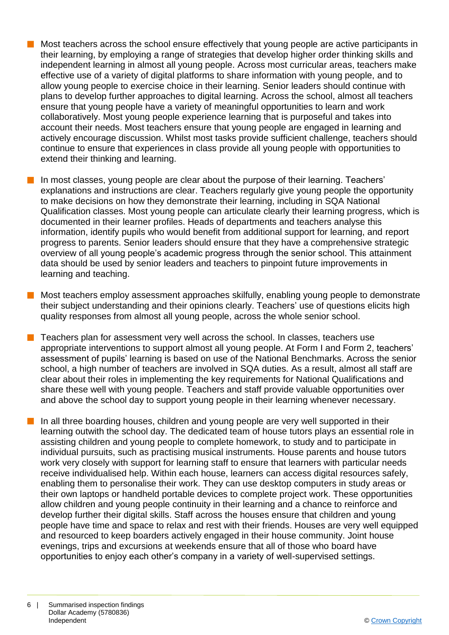- n Most teachers across the school ensure effectively that young people are active participants in their learning, by employing a range of strategies that develop higher order thinking skills and independent learning in almost all young people. Across most curricular areas, teachers make effective use of a variety of digital platforms to share information with young people, and to allow young people to exercise choice in their learning. Senior leaders should continue with plans to develop further approaches to digital learning. Across the school, almost all teachers ensure that young people have a variety of meaningful opportunities to learn and work collaboratively. Most young people experience learning that is purposeful and takes into account their needs. Most teachers ensure that young people are engaged in learning and actively encourage discussion. Whilst most tasks provide sufficient challenge, teachers should continue to ensure that experiences in class provide all young people with opportunities to extend their thinking and learning.
- $\blacksquare$  In most classes, young people are clear about the purpose of their learning. Teachers' explanations and instructions are clear. Teachers regularly give young people the opportunity to make decisions on how they demonstrate their learning, including in SQA National Qualification classes. Most young people can articulate clearly their learning progress, which is documented in their learner profiles. Heads of departments and teachers analyse this information, identify pupils who would benefit from additional support for learning, and report progress to parents. Senior leaders should ensure that they have a comprehensive strategic overview of all young people's academic progress through the senior school. This attainment data should be used by senior leaders and teachers to pinpoint future improvements in learning and teaching.
- $\blacksquare$  Most teachers employ assessment approaches skilfully, enabling young people to demonstrate their subject understanding and their opinions clearly. Teachers' use of questions elicits high quality responses from almost all young people, across the whole senior school.
- n Teachers plan for assessment very well across the school. In classes, teachers use appropriate interventions to support almost all young people. At Form I and Form 2, teachers' assessment of pupils' learning is based on use of the National Benchmarks. Across the senior school, a high number of teachers are involved in SQA duties. As a result, almost all staff are clear about their roles in implementing the key requirements for National Qualifications and share these well with young people. Teachers and staff provide valuable opportunities over and above the school day to support young people in their learning whenever necessary.
- In all three boarding houses, children and young people are very well supported in their learning outwith the school day. The dedicated team of house tutors plays an essential role in assisting children and young people to complete homework, to study and to participate in individual pursuits, such as practising musical instruments. House parents and house tutors work very closely with support for learning staff to ensure that learners with particular needs receive individualised help. Within each house, learners can access digital resources safely, enabling them to personalise their work. They can use desktop computers in study areas or their own laptops or handheld portable devices to complete project work. These opportunities allow children and young people continuity in their learning and a chance to reinforce and develop further their digital skills. Staff across the houses ensure that children and young people have time and space to relax and rest with their friends. Houses are very well equipped and resourced to keep boarders actively engaged in their house community. Joint house evenings, trips and excursions at weekends ensure that all of those who board have opportunities to enjoy each other's company in a variety of well-supervised settings.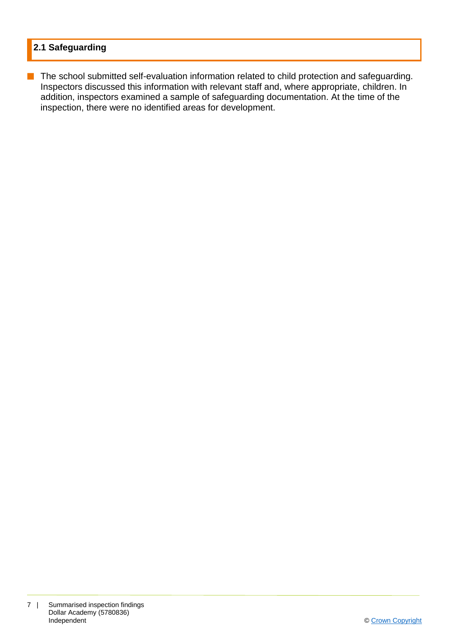## **2.1 Safeguarding**

**n** The school submitted self-evaluation information related to child protection and safeguarding. Inspectors discussed this information with relevant staff and, where appropriate, children. In addition, inspectors examined a sample of safeguarding documentation. At the time of the inspection, there were no identified areas for development.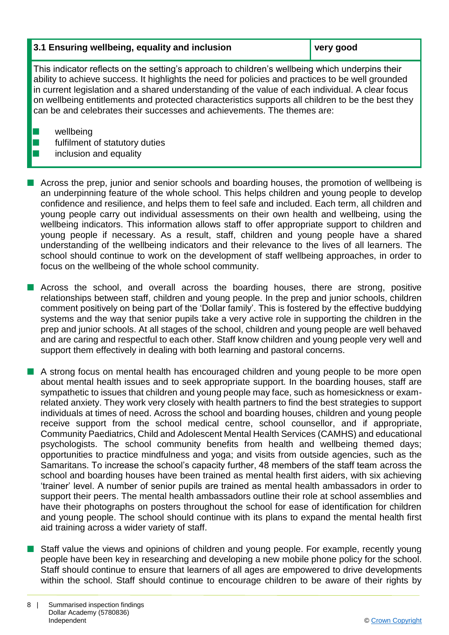#### **3.1 Ensuring wellbeing, equality and inclusion very good**

This indicator reflects on the setting's approach to children's wellbeing which underpins their ability to achieve success. It highlights the need for policies and practices to be well grounded in current legislation and a shared understanding of the value of each individual. A clear focus on wellbeing entitlements and protected characteristics supports all children to be the best they can be and celebrates their successes and achievements. The themes are:

 $\blacksquare$  wellbeing

- $\blacksquare$  fulfilment of statutory duties
- inclusion and equality
- $\blacksquare$  Across the prep, junior and senior schools and boarding houses, the promotion of wellbeing is an underpinning feature of the whole school. This helps children and young people to develop confidence and resilience, and helps them to feel safe and included. Each term, all children and young people carry out individual assessments on their own health and wellbeing, using the wellbeing indicators. This information allows staff to offer appropriate support to children and young people if necessary. As a result, staff, children and young people have a shared understanding of the wellbeing indicators and their relevance to the lives of all learners. The school should continue to work on the development of staff wellbeing approaches, in order to focus on the wellbeing of the whole school community.
- Across the school, and overall across the boarding houses, there are strong, positive relationships between staff, children and young people. In the prep and junior schools, children comment positively on being part of the 'Dollar family'. This is fostered by the effective buddying systems and the way that senior pupils take a very active role in supporting the children in the prep and junior schools. At all stages of the school, children and young people are well behaved and are caring and respectful to each other. Staff know children and young people very well and support them effectively in dealing with both learning and pastoral concerns.
- A strong focus on mental health has encouraged children and young people to be more open about mental health issues and to seek appropriate support. In the boarding houses, staff are sympathetic to issues that children and young people may face, such as homesickness or examrelated anxiety. They work very closely with health partners to find the best strategies to support individuals at times of need. Across the school and boarding houses, children and young people receive support from the school medical centre, school counsellor, and if appropriate, Community Paediatrics, Child and Adolescent Mental Health Services (CAMHS) and educational psychologists. The school community benefits from health and wellbeing themed days; opportunities to practice mindfulness and yoga; and visits from outside agencies, such as the Samaritans. To increase the school's capacity further, 48 members of the staff team across the school and boarding houses have been trained as mental health first aiders, with six achieving 'trainer' level. A number of senior pupils are trained as mental health ambassadors in order to support their peers. The mental health ambassadors outline their role at school assemblies and have their photographs on posters throughout the school for ease of identification for children and young people. The school should continue with its plans to expand the mental health first aid training across a wider variety of staff.
- Staff value the views and opinions of children and young people. For example, recently young people have been key in researching and developing a new mobile phone policy for the school. Staff should continue to ensure that learners of all ages are empowered to drive developments within the school. Staff should continue to encourage children to be aware of their rights by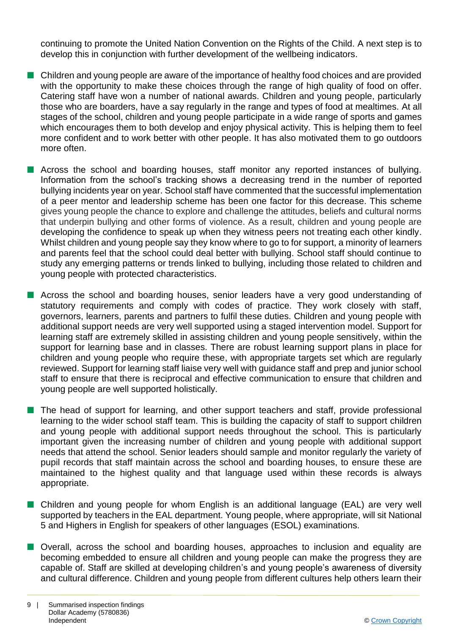continuing to promote the United Nation Convention on the Rights of the Child. A next step is to develop this in conjunction with further development of the wellbeing indicators.

- **n** Children and young people are aware of the importance of healthy food choices and are provided with the opportunity to make these choices through the range of high quality of food on offer. Catering staff have won a number of national awards. Children and young people, particularly those who are boarders, have a say regularly in the range and types of food at mealtimes. At all stages of the school, children and young people participate in a wide range of sports and games which encourages them to both develop and enjoy physical activity. This is helping them to feel more confident and to work better with other people. It has also motivated them to go outdoors more often.
- **n** Across the school and boarding houses, staff monitor any reported instances of bullying. Information from the school's tracking shows a decreasing trend in the number of reported bullying incidents year on year. School staff have commented that the successful implementation of a peer mentor and leadership scheme has been one factor for this decrease. This scheme gives young people the chance to explore and challenge the attitudes, beliefs and cultural norms that underpin bullying and other forms of violence. As a result, children and young people are developing the confidence to speak up when they witness peers not treating each other kindly. Whilst children and young people say they know where to go to for support, a minority of learners and parents feel that the school could deal better with bullying. School staff should continue to study any emerging patterns or trends linked to bullying, including those related to children and young people with protected characteristics.
- **n** Across the school and boarding houses, senior leaders have a very good understanding of statutory requirements and comply with codes of practice. They work closely with staff, governors, learners, parents and partners to fulfil these duties. Children and young people with additional support needs are very well supported using a staged intervention model. Support for learning staff are extremely skilled in assisting children and young people sensitively, within the support for learning base and in classes. There are robust learning support plans in place for children and young people who require these, with appropriate targets set which are regularly reviewed. Support for learning staff liaise very well with guidance staff and prep and junior school staff to ensure that there is reciprocal and effective communication to ensure that children and young people are well supported holistically.
- The head of support for learning, and other support teachers and staff, provide professional learning to the wider school staff team. This is building the capacity of staff to support children and young people with additional support needs throughout the school. This is particularly important given the increasing number of children and young people with additional support needs that attend the school. Senior leaders should sample and monitor regularly the variety of pupil records that staff maintain across the school and boarding houses, to ensure these are maintained to the highest quality and that language used within these records is always appropriate.
- Children and young people for whom English is an additional language (EAL) are very well supported by teachers in the EAL department. Young people, where appropriate, will sit National 5 and Highers in English for speakers of other languages (ESOL) examinations.
- Overall, across the school and boarding houses, approaches to inclusion and equality are becoming embedded to ensure all children and young people can make the progress they are capable of. Staff are skilled at developing children's and young people's awareness of diversity and cultural difference. Children and young people from different cultures help others learn their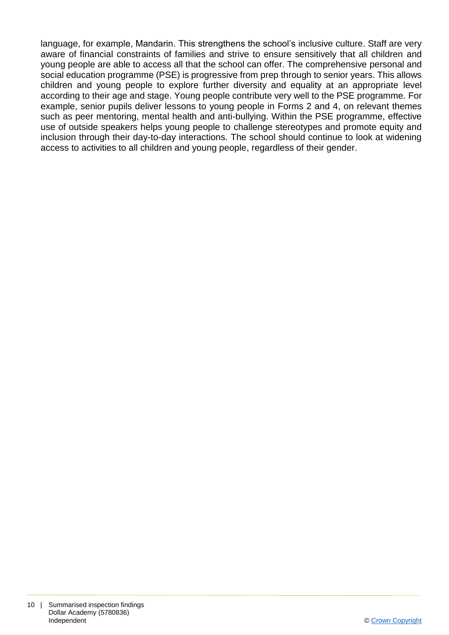language, for example, Mandarin. This strengthens the school's inclusive culture. Staff are very aware of financial constraints of families and strive to ensure sensitively that all children and young people are able to access all that the school can offer. The comprehensive personal and social education programme (PSE) is progressive from prep through to senior years. This allows children and young people to explore further diversity and equality at an appropriate level according to their age and stage. Young people contribute very well to the PSE programme. For example, senior pupils deliver lessons to young people in Forms 2 and 4, on relevant themes such as peer mentoring, mental health and anti-bullying. Within the PSE programme, effective use of outside speakers helps young people to challenge stereotypes and promote equity and inclusion through their day-to-day interactions. The school should continue to look at widening access to activities to all children and young people, regardless of their gender.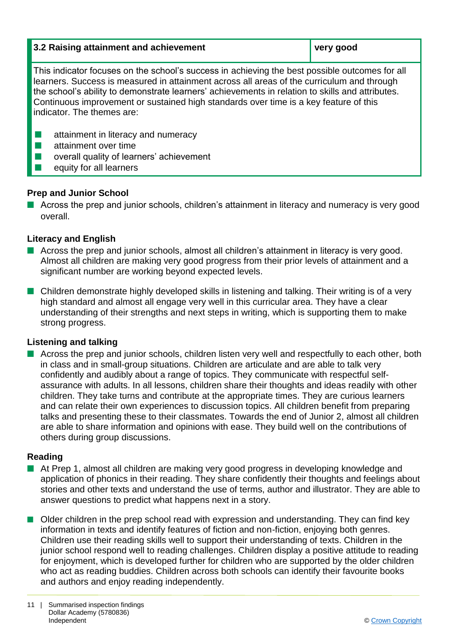| 3.2 Raising attainment and achievement                                                                                                                                                                                                                                                                                                                                                                                  | very good |  |
|-------------------------------------------------------------------------------------------------------------------------------------------------------------------------------------------------------------------------------------------------------------------------------------------------------------------------------------------------------------------------------------------------------------------------|-----------|--|
| This indicator focuses on the school's success in achieving the best possible outcomes for all<br>learners. Success is measured in attainment across all areas of the curriculum and through<br>the school's ability to demonstrate learners' achievements in relation to skills and attributes.<br>Continuous improvement or sustained high standards over time is a key feature of this<br>indicator. The themes are: |           |  |
| attainment in literacy and numeracy                                                                                                                                                                                                                                                                                                                                                                                     |           |  |

- attainment over time
- overall quality of learners' achievement
- $\blacksquare$  equity for all learners

#### **Prep and Junior School**

 $\blacksquare$  Across the prep and junior schools, children's attainment in literacy and numeracy is very good overall.

#### **Literacy and English**

- $\blacksquare$  Across the prep and junior schools, almost all children's attainment in literacy is very good. Almost all children are making very good progress from their prior levels of attainment and a significant number are working beyond expected levels.
- $\blacksquare$  Children demonstrate highly developed skills in listening and talking. Their writing is of a very high standard and almost all engage very well in this curricular area. They have a clear understanding of their strengths and next steps in writing, which is supporting them to make strong progress.

#### **Listening and talking**

■ Across the prep and junior schools, children listen very well and respectfully to each other, both in class and in small-group situations. Children are articulate and are able to talk very confidently and audibly about a range of topics. They communicate with respectful selfassurance with adults. In all lessons, children share their thoughts and ideas readily with other children. They take turns and contribute at the appropriate times. They are curious learners and can relate their own experiences to discussion topics. All children benefit from preparing talks and presenting these to their classmates. Towards the end of Junior 2, almost all children are able to share information and opinions with ease. They build well on the contributions of others during group discussions.

#### **Reading**

- At Prep 1, almost all children are making very good progress in developing knowledge and application of phonics in their reading. They share confidently their thoughts and feelings about stories and other texts and understand the use of terms, author and illustrator. They are able to answer questions to predict what happens next in a story.
- $\blacksquare$  Older children in the prep school read with expression and understanding. They can find key information in texts and identify features of fiction and non-fiction, enjoying both genres. Children use their reading skills well to support their understanding of texts. Children in the junior school respond well to reading challenges. Children display a positive attitude to reading for enjoyment, which is developed further for children who are supported by the older children who act as reading buddies. Children across both schools can identify their favourite books and authors and enjoy reading independently.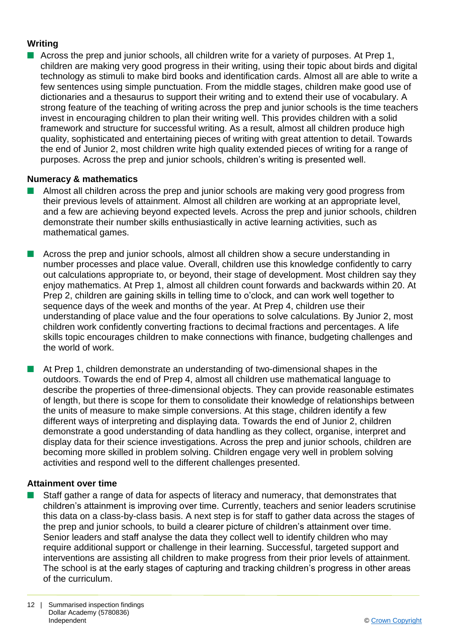#### **Writing**

Across the prep and junior schools, all children write for a variety of purposes. At Prep 1, children are making very good progress in their writing, using their topic about birds and digital technology as stimuli to make bird books and identification cards. Almost all are able to write a few sentences using simple punctuation. From the middle stages, children make good use of dictionaries and a thesaurus to support their writing and to extend their use of vocabulary. A strong feature of the teaching of writing across the prep and junior schools is the time teachers invest in encouraging children to plan their writing well. This provides children with a solid framework and structure for successful writing. As a result, almost all children produce high quality, sophisticated and entertaining pieces of writing with great attention to detail. Towards the end of Junior 2, most children write high quality extended pieces of writing for a range of purposes. Across the prep and junior schools, children's writing is presented well.

#### **Numeracy & mathematics**

- n Almost all children across the prep and junior schools are making very good progress from their previous levels of attainment. Almost all children are working at an appropriate level, and a few are achieving beyond expected levels. Across the prep and junior schools, children demonstrate their number skills enthusiastically in active learning activities, such as mathematical games.
- Across the prep and junior schools, almost all children show a secure understanding in number processes and place value. Overall, children use this knowledge confidently to carry out calculations appropriate to, or beyond, their stage of development. Most children say they enjoy mathematics. At Prep 1, almost all children count forwards and backwards within 20. At Prep 2, children are gaining skills in telling time to o'clock, and can work well together to sequence days of the week and months of the year. At Prep 4, children use their understanding of place value and the four operations to solve calculations. By Junior 2, most children work confidently converting fractions to decimal fractions and percentages. A life skills topic encourages children to make connections with finance, budgeting challenges and the world of work.
- $\blacksquare$  At Prep 1, children demonstrate an understanding of two-dimensional shapes in the outdoors. Towards the end of Prep 4, almost all children use mathematical language to describe the properties of three-dimensional objects. They can provide reasonable estimates of length, but there is scope for them to consolidate their knowledge of relationships between the units of measure to make simple conversions. At this stage, children identify a few different ways of interpreting and displaying data. Towards the end of Junior 2, children demonstrate a good understanding of data handling as they collect, organise, interpret and display data for their science investigations. Across the prep and junior schools, children are becoming more skilled in problem solving. Children engage very well in problem solving activities and respond well to the different challenges presented.

#### **Attainment over time**

Staff gather a range of data for aspects of literacy and numeracy, that demonstrates that children's attainment is improving over time. Currently, teachers and senior leaders scrutinise this data on a class-by-class basis. A next step is for staff to gather data across the stages of the prep and junior schools, to build a clearer picture of children's attainment over time. Senior leaders and staff analyse the data they collect well to identify children who may require additional support or challenge in their learning. Successful, targeted support and interventions are assisting all children to make progress from their prior levels of attainment. The school is at the early stages of capturing and tracking children's progress in other areas of the curriculum.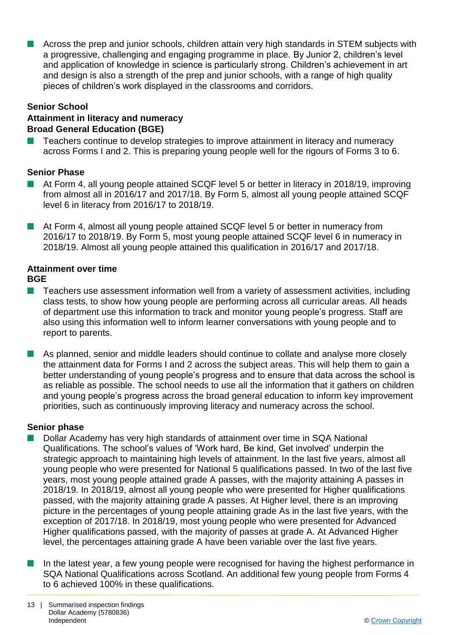n Across the prep and junior schools, children attain very high standards in STEM subjects with a progressive, challenging and engaging programme in place. By Junior 2, children's level and application of knowledge in science is particularly strong. Children's achievement in art and design is also a strength of the prep and junior schools, with a range of high quality pieces of children's work displayed in the classrooms and corridors.

#### **Senior School**

#### **Attainment in literacy and numeracy Broad General Education (BGE)**

Teachers continue to develop strategies to improve attainment in literacy and numeracy across Forms I and 2. This is preparing young people well for the rigours of Forms 3 to 6.

#### **Senior Phase**

- n At Form 4, all young people attained SCQF level 5 or better in literacy in 2018/19, improving from almost all in 2016/17 and 2017/18. By Form 5, almost all young people attained SCQF level 6 in literacy from 2016/17 to 2018/19.
- At Form 4, almost all young people attained SCQF level 5 or better in numeracy from 2016/17 to 2018/19. By Form 5, most young people attained SCQF level 6 in numeracy in 2018/19. Almost all young people attained this qualification in 2016/17 and 2017/18.

# **Attainment over time**

#### **BGE**

- $\blacksquare$  Teachers use assessment information well from a variety of assessment activities, including class tests, to show how young people are performing across all curricular areas. All heads of department use this information to track and monitor young people's progress. Staff are also using this information well to inform learner conversations with young people and to report to parents.
- **n** As planned, senior and middle leaders should continue to collate and analyse more closely the attainment data for Forms I and 2 across the subject areas. This will help them to gain a better understanding of young people's progress and to ensure that data across the school is as reliable as possible. The school needs to use all the information that it gathers on children and young people's progress across the broad general education to inform key improvement priorities, such as continuously improving literacy and numeracy across the school.

#### **Senior phase**

- n Dollar Academy has very high standards of attainment over time in SQA National Qualifications. The school's values of 'Work hard, Be kind, Get involved' underpin the strategic approach to maintaining high levels of attainment. In the last five years, almost all young people who were presented for National 5 qualifications passed. In two of the last five years, most young people attained grade A passes, with the majority attaining A passes in 2018/19. In 2018/19, almost all young people who were presented for Higher qualifications passed, with the majority attaining grade A passes. At Higher level, there is an improving picture in the percentages of young people attaining grade As in the last five years, with the exception of 2017/18. In 2018/19, most young people who were presented for Advanced Higher qualifications passed, with the majority of passes at grade A. At Advanced Higher level, the percentages attaining grade A have been variable over the last five years.
- $\blacksquare$  In the latest year, a few young people were recognised for having the highest performance in SQA National Qualifications across Scotland. An additional few young people from Forms 4 to 6 achieved 100% in these qualifications.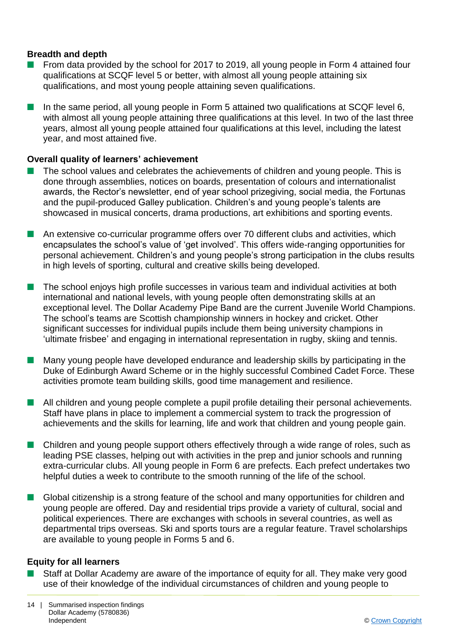#### **Breadth and depth**

- From data provided by the school for 2017 to 2019, all young people in Form 4 attained four qualifications at SCQF level 5 or better, with almost all young people attaining six qualifications, and most young people attaining seven qualifications.
- In the same period, all young people in Form 5 attained two qualifications at SCQF level 6, with almost all young people attaining three qualifications at this level. In two of the last three years, almost all young people attained four qualifications at this level, including the latest year, and most attained five.

#### **Overall quality of learners' achievement**

- The school values and celebrates the achievements of children and young people. This is done through assemblies, notices on boards, presentation of colours and internationalist awards, the Rector's newsletter, end of year school prizegiving, social media, the Fortunas and the pupil-produced Galley publication. Children's and young people's talents are showcased in musical concerts, drama productions, art exhibitions and sporting events.
- **n** An extensive co-curricular programme offers over 70 different clubs and activities, which encapsulates the school's value of 'get involved'. This offers wide-ranging opportunities for personal achievement. Children's and young people's strong participation in the clubs results in high levels of sporting, cultural and creative skills being developed.
- The school enjoys high profile successes in various team and individual activities at both international and national levels, with young people often demonstrating skills at an exceptional level. The Dollar Academy Pipe Band are the current Juvenile World Champions. The school's teams are Scottish championship winners in hockey and cricket. Other significant successes for individual pupils include them being university champions in 'ultimate frisbee' and engaging in international representation in rugby, skiing and tennis.
- $\blacksquare$  Many young people have developed endurance and leadership skills by participating in the Duke of Edinburgh Award Scheme or in the highly successful Combined Cadet Force. These activities promote team building skills, good time management and resilience.
- **n** All children and young people complete a pupil profile detailing their personal achievements. Staff have plans in place to implement a commercial system to track the progression of achievements and the skills for learning, life and work that children and young people gain.
- $\blacksquare$  Children and young people support others effectively through a wide range of roles, such as leading PSE classes, helping out with activities in the prep and junior schools and running extra-curricular clubs. All young people in Form 6 are prefects. Each prefect undertakes two helpful duties a week to contribute to the smooth running of the life of the school.
- n Global citizenship is a strong feature of the school and many opportunities for children and young people are offered. Day and residential trips provide a variety of cultural, social and political experiences. There are exchanges with schools in several countries, as well as departmental trips overseas. Ski and sports tours are a regular feature. Travel scholarships are available to young people in Forms 5 and 6.

#### **Equity for all learners**

Staff at Dollar Academy are aware of the importance of equity for all. They make very good use of their knowledge of the individual circumstances of children and young people to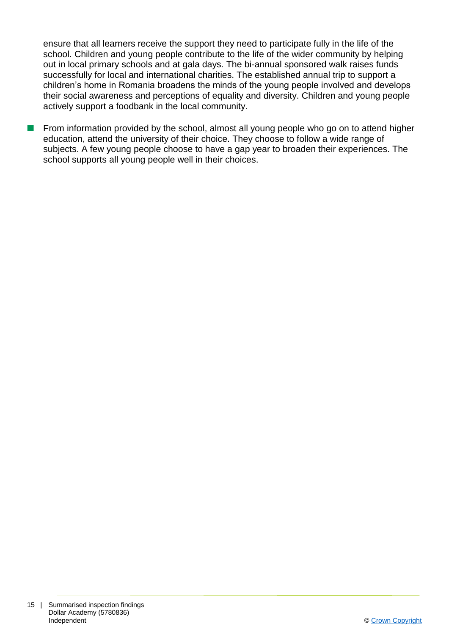ensure that all learners receive the support they need to participate fully in the life of the school. Children and young people contribute to the life of the wider community by helping out in local primary schools and at gala days. The bi-annual sponsored walk raises funds successfully for local and international charities. The established annual trip to support a children's home in Romania broadens the minds of the young people involved and develops their social awareness and perceptions of equality and diversity. Children and young people actively support a foodbank in the local community.

 $\blacksquare$  From information provided by the school, almost all young people who go on to attend higher education, attend the university of their choice. They choose to follow a wide range of subjects. A few young people choose to have a gap year to broaden their experiences. The school supports all young people well in their choices.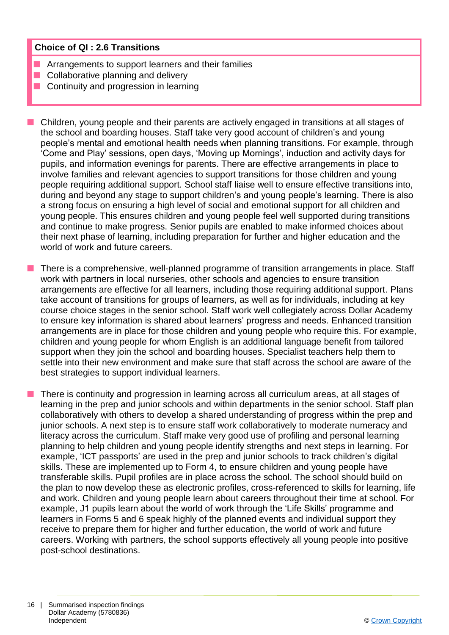#### **Choice of QI : 2.6 Transitions**

- Arrangements to support learners and their families
- $\blacksquare$  Collaborative planning and delivery
- $\blacksquare$  Continuity and progression in learning

 $\blacksquare$  Children, young people and their parents are actively engaged in transitions at all stages of the school and boarding houses. Staff take very good account of children's and young people's mental and emotional health needs when planning transitions. For example, through 'Come and Play' sessions, open days, 'Moving up Mornings', induction and activity days for pupils, and information evenings for parents. There are effective arrangements in place to involve families and relevant agencies to support transitions for those children and young people requiring additional support. School staff liaise well to ensure effective transitions into, during and beyond any stage to support children's and young people's learning. There is also a strong focus on ensuring a high level of social and emotional support for all children and young people. This ensures children and young people feel well supported during transitions and continue to make progress. Senior pupils are enabled to make informed choices about their next phase of learning, including preparation for further and higher education and the world of work and future careers.

There is a comprehensive, well-planned programme of transition arrangements in place. Staff work with partners in local nurseries, other schools and agencies to ensure transition arrangements are effective for all learners, including those requiring additional support. Plans take account of transitions for groups of learners, as well as for individuals, including at key course choice stages in the senior school. Staff work well collegiately across Dollar Academy to ensure key information is shared about learners' progress and needs. Enhanced transition arrangements are in place for those children and young people who require this. For example, children and young people for whom English is an additional language benefit from tailored support when they join the school and boarding houses. Specialist teachers help them to settle into their new environment and make sure that staff across the school are aware of the best strategies to support individual learners.

n There is continuity and progression in learning across all curriculum areas, at all stages of learning in the prep and junior schools and within departments in the senior school. Staff plan collaboratively with others to develop a shared understanding of progress within the prep and junior schools. A next step is to ensure staff work collaboratively to moderate numeracy and literacy across the curriculum. Staff make very good use of profiling and personal learning planning to help children and young people identify strengths and next steps in learning. For example, 'ICT passports' are used in the prep and junior schools to track children's digital skills. These are implemented up to Form 4, to ensure children and young people have transferable skills. Pupil profiles are in place across the school. The school should build on the plan to now develop these as electronic profiles, cross-referenced to skills for learning, life and work. Children and young people learn about careers throughout their time at school. For example, J1 pupils learn about the world of work through the 'Life Skills' programme and learners in Forms 5 and 6 speak highly of the planned events and individual support they receive to prepare them for higher and further education, the world of work and future careers. Working with partners, the school supports effectively all young people into positive post-school destinations.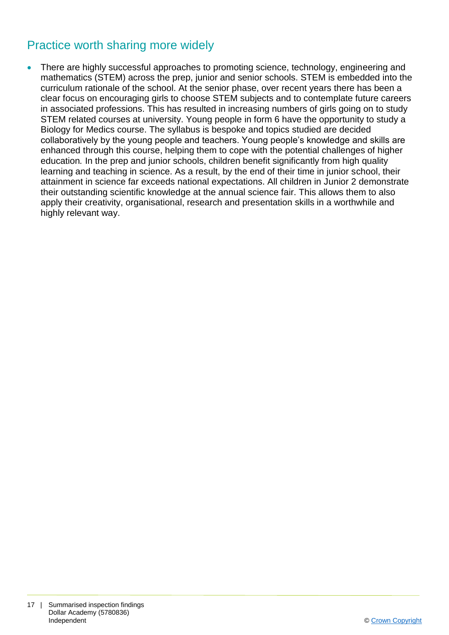# Practice worth sharing more widely

 There are highly successful approaches to promoting science, technology, engineering and mathematics (STEM) across the prep, junior and senior schools. STEM is embedded into the curriculum rationale of the school. At the senior phase, over recent years there has been a clear focus on encouraging girls to choose STEM subjects and to contemplate future careers in associated professions. This has resulted in increasing numbers of girls going on to study STEM related courses at university. Young people in form 6 have the opportunity to study a Biology for Medics course. The syllabus is bespoke and topics studied are decided collaboratively by the young people and teachers. Young people's knowledge and skills are enhanced through this course, helping them to cope with the potential challenges of higher education*.* In the prep and junior schools, children benefit significantly from high quality learning and teaching in science. As a result, by the end of their time in junior school, their attainment in science far exceeds national expectations. All children in Junior 2 demonstrate their outstanding scientific knowledge at the annual science fair. This allows them to also apply their creativity, organisational, research and presentation skills in a worthwhile and highly relevant way.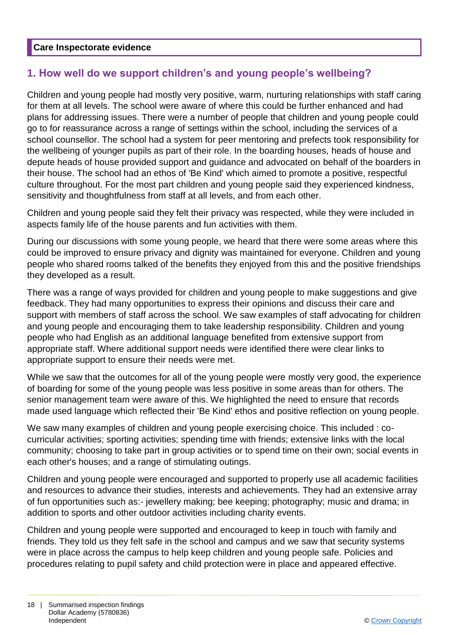#### **Care Inspectorate evidence**

## **1. How well do we support children's and young people's wellbeing?**

Children and young people had mostly very positive, warm, nurturing relationships with staff caring for them at all levels. The school were aware of where this could be further enhanced and had plans for addressing issues. There were a number of people that children and young people could go to for reassurance across a range of settings within the school, including the services of a school counsellor. The school had a system for peer mentoring and prefects took responsibility for the wellbeing of younger pupils as part of their role. In the boarding houses, heads of house and depute heads of house provided support and guidance and advocated on behalf of the boarders in their house. The school had an ethos of 'Be Kind' which aimed to promote a positive, respectful culture throughout. For the most part children and young people said they experienced kindness, sensitivity and thoughtfulness from staff at all levels, and from each other.

Children and young people said they felt their privacy was respected, while they were included in aspects family life of the house parents and fun activities with them.

During our discussions with some young people, we heard that there were some areas where this could be improved to ensure privacy and dignity was maintained for everyone. Children and young people who shared rooms talked of the benefits they enjoyed from this and the positive friendships they developed as a result.

There was a range of ways provided for children and young people to make suggestions and give feedback. They had many opportunities to express their opinions and discuss their care and support with members of staff across the school. We saw examples of staff advocating for children and young people and encouraging them to take leadership responsibility. Children and young people who had English as an additional language benefited from extensive support from appropriate staff. Where additional support needs were identified there were clear links to appropriate support to ensure their needs were met.

While we saw that the outcomes for all of the young people were mostly very good, the experience of boarding for some of the young people was less positive in some areas than for others. The senior management team were aware of this. We highlighted the need to ensure that records made used language which reflected their 'Be Kind' ethos and positive reflection on young people.

We saw many examples of children and young people exercising choice. This included : cocurricular activities; sporting activities; spending time with friends; extensive links with the local community; choosing to take part in group activities or to spend time on their own; social events in each other's houses; and a range of stimulating outings.

Children and young people were encouraged and supported to properly use all academic facilities and resources to advance their studies, interests and achievements. They had an extensive array of fun opportunities such as:- jewellery making; bee keeping; photography; music and drama; in addition to sports and other outdoor activities including charity events.

Children and young people were supported and encouraged to keep in touch with family and friends. They told us they felt safe in the school and campus and we saw that security systems were in place across the campus to help keep children and young people safe. Policies and procedures relating to pupil safety and child protection were in place and appeared effective.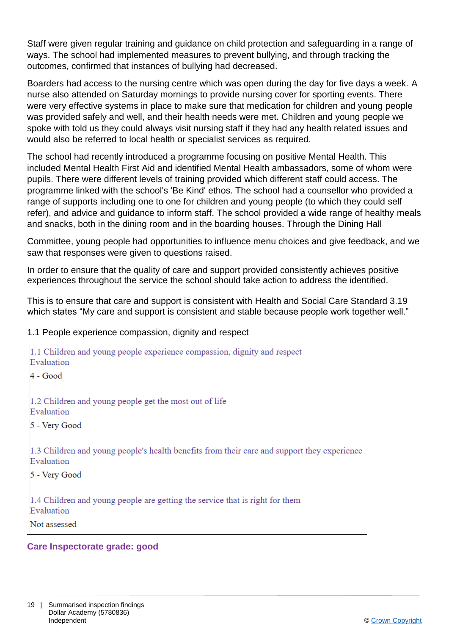Staff were given regular training and guidance on child protection and safeguarding in a range of ways. The school had implemented measures to prevent bullying, and through tracking the outcomes, confirmed that instances of bullying had decreased.

Boarders had access to the nursing centre which was open during the day for five days a week. A nurse also attended on Saturday mornings to provide nursing cover for sporting events. There were very effective systems in place to make sure that medication for children and young people was provided safely and well, and their health needs were met. Children and young people we spoke with told us they could always visit nursing staff if they had any health related issues and would also be referred to local health or specialist services as required.

The school had recently introduced a programme focusing on positive Mental Health. This included Mental Health First Aid and identified Mental Health ambassadors, some of whom were pupils. There were different levels of training provided which different staff could access. The programme linked with the school's 'Be Kind' ethos. The school had a counsellor who provided a range of supports including one to one for children and young people (to which they could self refer), and advice and guidance to inform staff. The school provided a wide range of healthy meals and snacks, both in the dining room and in the boarding houses. Through the Dining Hall

Committee, young people had opportunities to influence menu choices and give feedback, and we saw that responses were given to questions raised.

In order to ensure that the quality of care and support provided consistently achieves positive experiences throughout the service the school should take action to address the identified.

This is to ensure that care and support is consistent with Health and Social Care Standard 3.19 which states "My care and support is consistent and stable because people work together well."

1.1 People experience compassion, dignity and respect

#### 1.1 Children and voung people experience compassion, dignity and respect Evaluation

 $4 - Good$ 

1.2 Children and young people get the most out of life Evaluation

5 - Very Good

1.3 Children and young people's health benefits from their care and support they experience Evaluation

5 - Very Good

1.4 Children and young people are getting the service that is right for them Evaluation

Not assessed

#### **Care Inspectorate grade: good**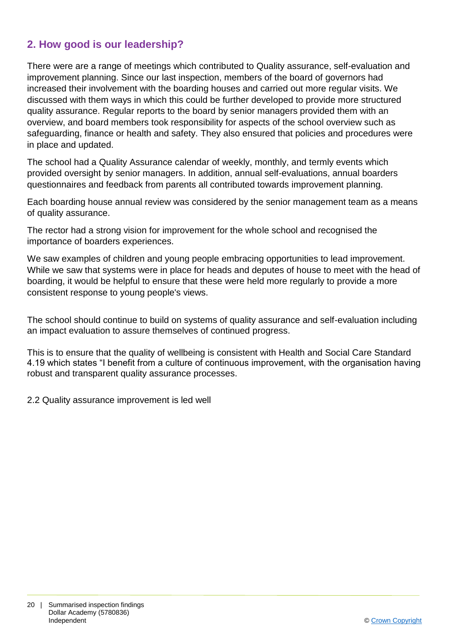# **2. How good is our leadership?**

There were are a range of meetings which contributed to Quality assurance, self-evaluation and improvement planning. Since our last inspection, members of the board of governors had increased their involvement with the boarding houses and carried out more regular visits. We discussed with them ways in which this could be further developed to provide more structured quality assurance. Regular reports to the board by senior managers provided them with an overview, and board members took responsibility for aspects of the school overview such as safeguarding, finance or health and safety. They also ensured that policies and procedures were in place and updated.

The school had a Quality Assurance calendar of weekly, monthly, and termly events which provided oversight by senior managers. In addition, annual self-evaluations, annual boarders questionnaires and feedback from parents all contributed towards improvement planning.

Each boarding house annual review was considered by the senior management team as a means of quality assurance.

The rector had a strong vision for improvement for the whole school and recognised the importance of boarders experiences.

We saw examples of children and young people embracing opportunities to lead improvement. While we saw that systems were in place for heads and deputes of house to meet with the head of boarding, it would be helpful to ensure that these were held more regularly to provide a more consistent response to young people's views.

The school should continue to build on systems of quality assurance and self-evaluation including an impact evaluation to assure themselves of continued progress.

This is to ensure that the quality of wellbeing is consistent with Health and Social Care Standard 4.19 which states "I benefit from a culture of continuous improvement, with the organisation having robust and transparent quality assurance processes.

2.2 Quality assurance improvement is led well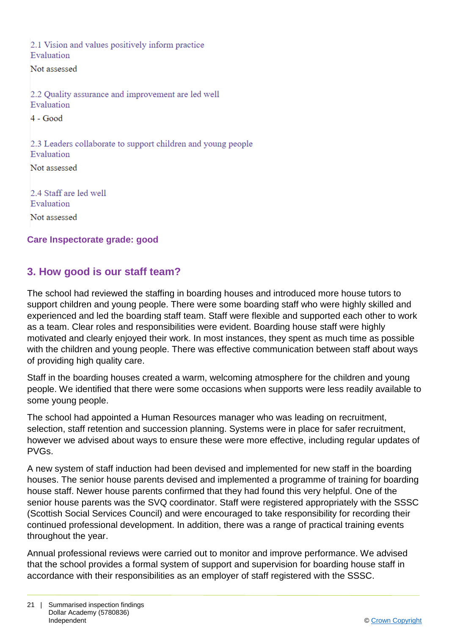2.1 Vision and values positively inform practice Evaluation

Not assessed

2.2 Quality assurance and improvement are led well Evaluation

 $4 - Good$ 

2.3 Leaders collaborate to support children and young people Evaluation Not assessed

2.4 Staff are led well Evaluation Not assessed

**Care Inspectorate grade: good**

## **3. How good is our staff team?**

The school had reviewed the staffing in boarding houses and introduced more house tutors to support children and young people. There were some boarding staff who were highly skilled and experienced and led the boarding staff team. Staff were flexible and supported each other to work as a team. Clear roles and responsibilities were evident. Boarding house staff were highly motivated and clearly enjoyed their work. In most instances, they spent as much time as possible with the children and young people. There was effective communication between staff about ways of providing high quality care.

Staff in the boarding houses created a warm, welcoming atmosphere for the children and young people. We identified that there were some occasions when supports were less readily available to some young people.

The school had appointed a Human Resources manager who was leading on recruitment, selection, staff retention and succession planning. Systems were in place for safer recruitment, however we advised about ways to ensure these were more effective, including regular updates of PVGs.

A new system of staff induction had been devised and implemented for new staff in the boarding houses. The senior house parents devised and implemented a programme of training for boarding house staff. Newer house parents confirmed that they had found this very helpful. One of the senior house parents was the SVQ coordinator. Staff were registered appropriately with the SSSC (Scottish Social Services Council) and were encouraged to take responsibility for recording their continued professional development. In addition, there was a range of practical training events throughout the year.

Annual professional reviews were carried out to monitor and improve performance. We advised that the school provides a formal system of support and supervision for boarding house staff in accordance with their responsibilities as an employer of staff registered with the SSSC.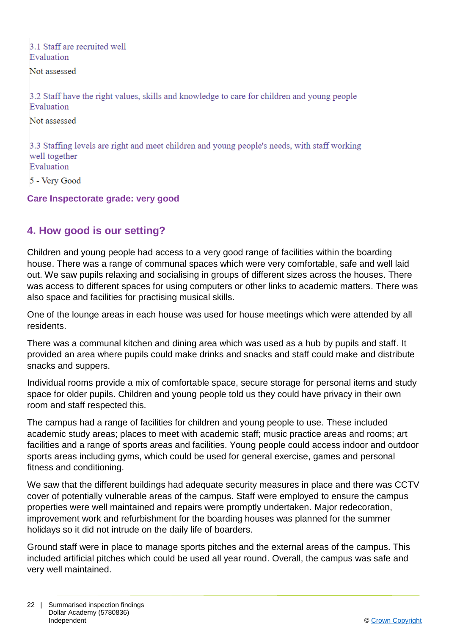### 3.1 Staff are recruited well Evaluation

Not assessed

3.2 Staff have the right values, skills and knowledge to care for children and young people Evaluation

Not assessed

3.3 Staffing levels are right and meet children and young people's needs, with staff working well together Evaluation

5 - Verv Good

**Care Inspectorate grade: very good**

# **4. How good is our setting?**

Children and young people had access to a very good range of facilities within the boarding house. There was a range of communal spaces which were very comfortable, safe and well laid out. We saw pupils relaxing and socialising in groups of different sizes across the houses. There was access to different spaces for using computers or other links to academic matters. There was also space and facilities for practising musical skills.

One of the lounge areas in each house was used for house meetings which were attended by all residents.

There was a communal kitchen and dining area which was used as a hub by pupils and staff. It provided an area where pupils could make drinks and snacks and staff could make and distribute snacks and suppers.

Individual rooms provide a mix of comfortable space, secure storage for personal items and study space for older pupils. Children and young people told us they could have privacy in their own room and staff respected this.

The campus had a range of facilities for children and young people to use. These included academic study areas; places to meet with academic staff; music practice areas and rooms; art facilities and a range of sports areas and facilities. Young people could access indoor and outdoor sports areas including gyms, which could be used for general exercise, games and personal fitness and conditioning.

We saw that the different buildings had adequate security measures in place and there was CCTV cover of potentially vulnerable areas of the campus. Staff were employed to ensure the campus properties were well maintained and repairs were promptly undertaken. Major redecoration, improvement work and refurbishment for the boarding houses was planned for the summer holidays so it did not intrude on the daily life of boarders.

Ground staff were in place to manage sports pitches and the external areas of the campus. This included artificial pitches which could be used all year round. Overall, the campus was safe and very well maintained.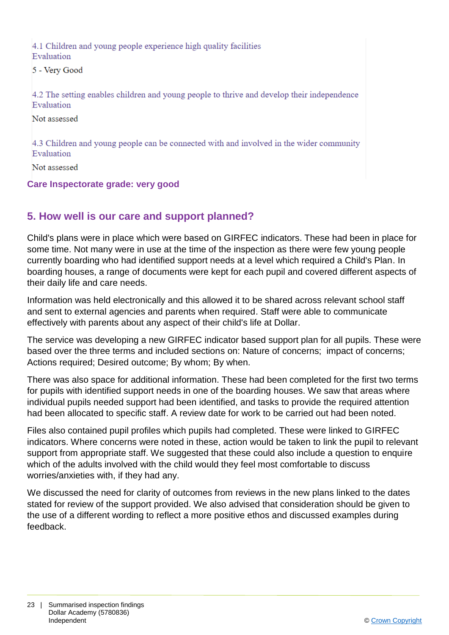4.1 Children and young people experience high quality facilities Evaluation

5 - Very Good

4.2 The setting enables children and young people to thrive and develop their independence Evaluation

Not assessed

4.3 Children and young people can be connected with and involved in the wider community Evaluation

Not assessed

#### **Care Inspectorate grade: very good**

## **5. How well is our care and support planned?**

Child's plans were in place which were based on GIRFEC indicators. These had been in place for some time. Not many were in use at the time of the inspection as there were few young people currently boarding who had identified support needs at a level which required a Child's Plan. In boarding houses, a range of documents were kept for each pupil and covered different aspects of their daily life and care needs.

Information was held electronically and this allowed it to be shared across relevant school staff and sent to external agencies and parents when required. Staff were able to communicate effectively with parents about any aspect of their child's life at Dollar.

The service was developing a new GIRFEC indicator based support plan for all pupils. These were based over the three terms and included sections on: Nature of concerns; impact of concerns; Actions required; Desired outcome; By whom; By when.

There was also space for additional information. These had been completed for the first two terms for pupils with identified support needs in one of the boarding houses. We saw that areas where individual pupils needed support had been identified, and tasks to provide the required attention had been allocated to specific staff. A review date for work to be carried out had been noted.

Files also contained pupil profiles which pupils had completed. These were linked to GIRFEC indicators. Where concerns were noted in these, action would be taken to link the pupil to relevant support from appropriate staff. We suggested that these could also include a question to enquire which of the adults involved with the child would they feel most comfortable to discuss worries/anxieties with, if they had any.

We discussed the need for clarity of outcomes from reviews in the new plans linked to the dates stated for review of the support provided. We also advised that consideration should be given to the use of a different wording to reflect a more positive ethos and discussed examples during feedback.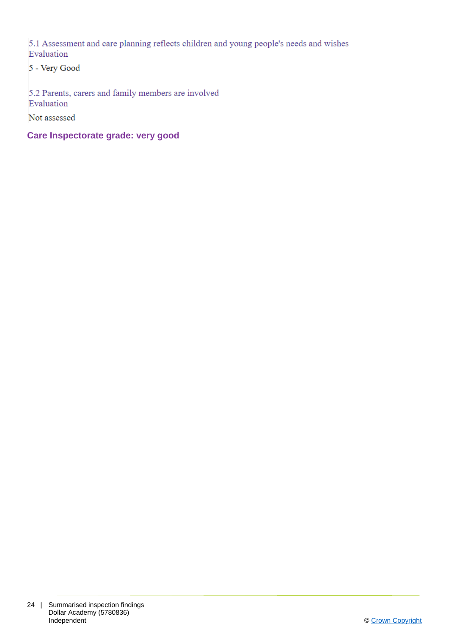5.1 Assessment and care planning reflects children and young people's needs and wishes Evaluation

5 - Very Good

5.2 Parents, carers and family members are involved Evaluation

Not assessed

**Care Inspectorate grade: very good**